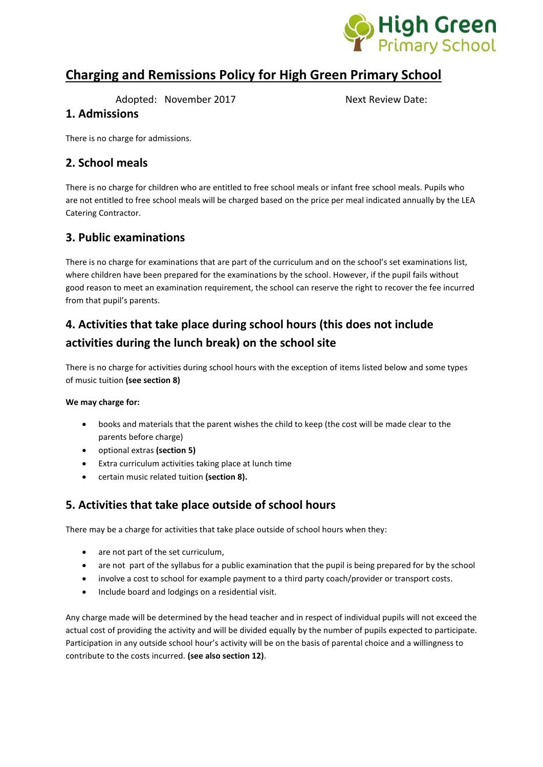

# **Charging and Remissions Policy for High Green Primary School**

Adopted: November 2017 Next Review Date:

#### **1. Admissions**

There is no charge for admissions.

# **2. School meals**

There is no charge for children who are entitled to free school meals or infant free school meals. Pupils who are not entitled to free school meals will be charged based on the price per meal indicated annually by the LEA Catering Contractor.

## **3. Public examinations**

There is no charge for examinations that are part of the curriculum and on the school's set examinations list, where children have been prepared for the examinations by the school. However, if the pupil fails without good reason to meet an examination requirement, the school can reserve the right to recover the fee incurred from that pupil's parents.

# **4. Activities that take place during school hours (this does not include activities during the lunch break) on the school site**

There is no charge for activities during school hours with the exception of items listed below and some types of music tuition **(see section 8)**

#### **We may charge for:**

- books and materials that the parent wishes the child to keep (the cost will be made clear to the parents before charge)
- optional extras **(section 5)**
- Extra curriculum activities taking place at lunch time
- certain music related tuition **(section 8).**

# **5. Activities that take place outside of school hours**

There may be a charge for activities that take place outside of school hours when they:

- are not part of the set curriculum,
- are not part of the syllabus for a public examination that the pupil is being prepared for by the school
- involve a cost to school for example payment to a third party coach/provider or transport costs.
- Include board and lodgings on a residential visit.

Any charge made will be determined by the head teacher and in respect of individual pupils will not exceed the actual cost of providing the activity and will be divided equally by the number of pupils expected to participate. Participation in any outside school hour's activity will be on the basis of parental choice and a willingness to contribute to the costs incurred. **(see also section 12)**.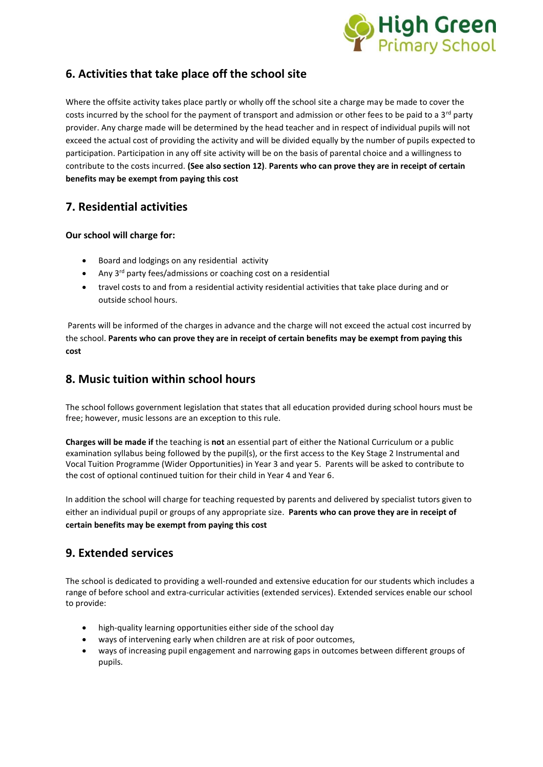

# **6. Activities that take place off the school site**

Where the offsite activity takes place partly or wholly off the school site a charge may be made to cover the costs incurred by the school for the payment of transport and admission or other fees to be paid to a 3<sup>rd</sup> party provider. Any charge made will be determined by the head teacher and in respect of individual pupils will not exceed the actual cost of providing the activity and will be divided equally by the number of pupils expected to participation. Participation in any off site activity will be on the basis of parental choice and a willingness to contribute to the costs incurred. **(See also section 12)**. **Parents who can prove they are in receipt of certain benefits may be exempt from paying this cost**

# **7. Residential activities**

#### **Our school will charge for:**

- Board and lodgings on any residential activity
- Any 3<sup>rd</sup> party fees/admissions or coaching cost on a residential
- travel costs to and from a residential activity residential activities that take place during and or outside school hours.

Parents will be informed of the charges in advance and the charge will not exceed the actual cost incurred by the school. **Parents who can prove they are in receipt of certain benefits may be exempt from paying this cost**

# **8. Music tuition within school hours**

The school follows government legislation that states that all education provided during school hours must be free; however, music lessons are an exception to this rule.

**Charges will be made if** the teaching is **not** an essential part of either the National Curriculum or a public examination syllabus being followed by the pupil(s), or the first access to the Key Stage 2 Instrumental and Vocal Tuition Programme (Wider Opportunities) in Year 3 and year 5. Parents will be asked to contribute to the cost of optional continued tuition for their child in Year 4 and Year 6.

In addition the school will charge for teaching requested by parents and delivered by specialist tutors given to either an individual pupil or groups of any appropriate size. **Parents who can prove they are in receipt of certain benefits may be exempt from paying this cost**

## **9. Extended services**

The school is dedicated to providing a well-rounded and extensive education for our students which includes a range of before school and extra-curricular activities (extended services). Extended services enable our school to provide:

- high-quality learning opportunities either side of the school day
- ways of intervening early when children are at risk of poor outcomes,
- ways of increasing pupil engagement and narrowing gaps in outcomes between different groups of pupils.